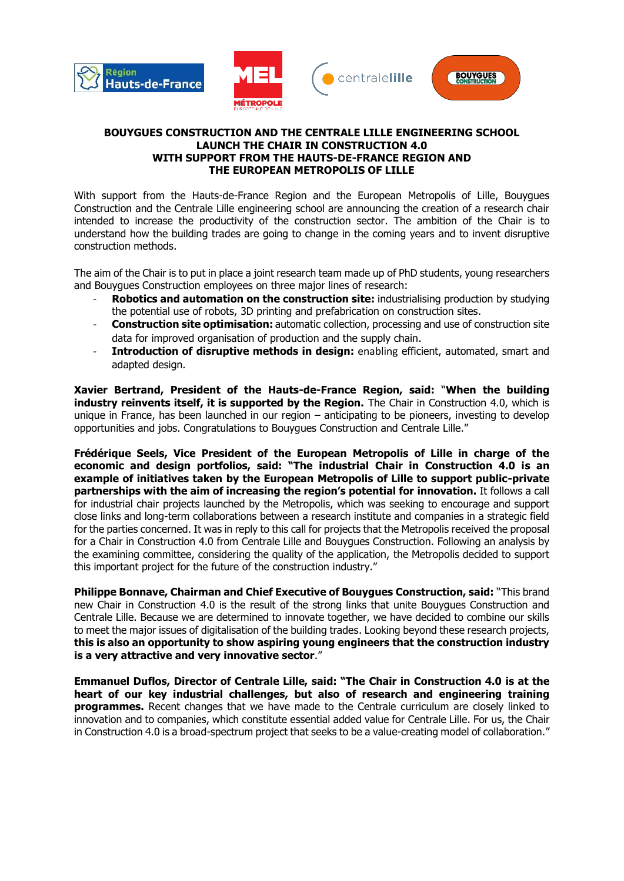

## **BOUYGUES CONSTRUCTION AND THE CENTRALE LILLE ENGINEERING SCHOOL LAUNCH THE CHAIR IN CONSTRUCTION 4.0 WITH SUPPORT FROM THE HAUTS-DE-FRANCE REGION AND THE EUROPEAN METROPOLIS OF LILLE**

With support from the Hauts-de-France Region and the European Metropolis of Lille, Bouygues Construction and the Centrale Lille engineering school are announcing the creation of a research chair intended to increase the productivity of the construction sector. The ambition of the Chair is to understand how the building trades are going to change in the coming years and to invent disruptive construction methods.

The aim of the Chair is to put in place a joint research team made up of PhD students, young researchers and Bouygues Construction employees on three major lines of research:

- **Robotics and automation on the construction site:** industrialising production by studying the potential use of robots, 3D printing and prefabrication on construction sites.
- **Construction site optimisation:** automatic collection, processing and use of construction site data for improved organisation of production and the supply chain.
- **Introduction of disruptive methods in design:** enabling efficient, automated, smart and adapted design.

**Xavier Bertrand, President of the Hauts-de-France Region, said:** "**When the building industry reinvents itself, it is supported by the Region.** The Chair in Construction 4.0, which is unique in France, has been launched in our region – anticipating to be pioneers, investing to develop opportunities and jobs. Congratulations to Bouygues Construction and Centrale Lille."

**Frédérique Seels, Vice President of the European Metropolis of Lille in charge of the economic and design portfolios, said: "The industrial Chair in Construction 4.0 is an example of initiatives taken by the European Metropolis of Lille to support public-private partnerships with the aim of increasing the region's potential for innovation.** It follows a call for industrial chair projects launched by the Metropolis, which was seeking to encourage and support close links and long-term collaborations between a research institute and companies in a strategic field for the parties concerned. It was in reply to this call for projects that the Metropolis received the proposal for a Chair in Construction 4.0 from Centrale Lille and Bouygues Construction. Following an analysis by the examining committee, considering the quality of the application, the Metropolis decided to support this important project for the future of the construction industry."

**Philippe Bonnave, Chairman and Chief Executive of Bouygues Construction, said:** "This brand new Chair in Construction 4.0 is the result of the strong links that unite Bouygues Construction and Centrale Lille. Because we are determined to innovate together, we have decided to combine our skills to meet the major issues of digitalisation of the building trades. Looking beyond these research projects, **this is also an opportunity to show aspiring young engineers that the construction industry is a very attractive and very innovative sector**."

**Emmanuel Duflos, Director of Centrale Lille, said: "The Chair in Construction 4.0 is at the heart of our key industrial challenges, but also of research and engineering training programmes.** Recent changes that we have made to the Centrale curriculum are closely linked to innovation and to companies, which constitute essential added value for Centrale Lille. For us, the Chair in Construction 4.0 is a broad-spectrum project that seeks to be a value-creating model of collaboration."